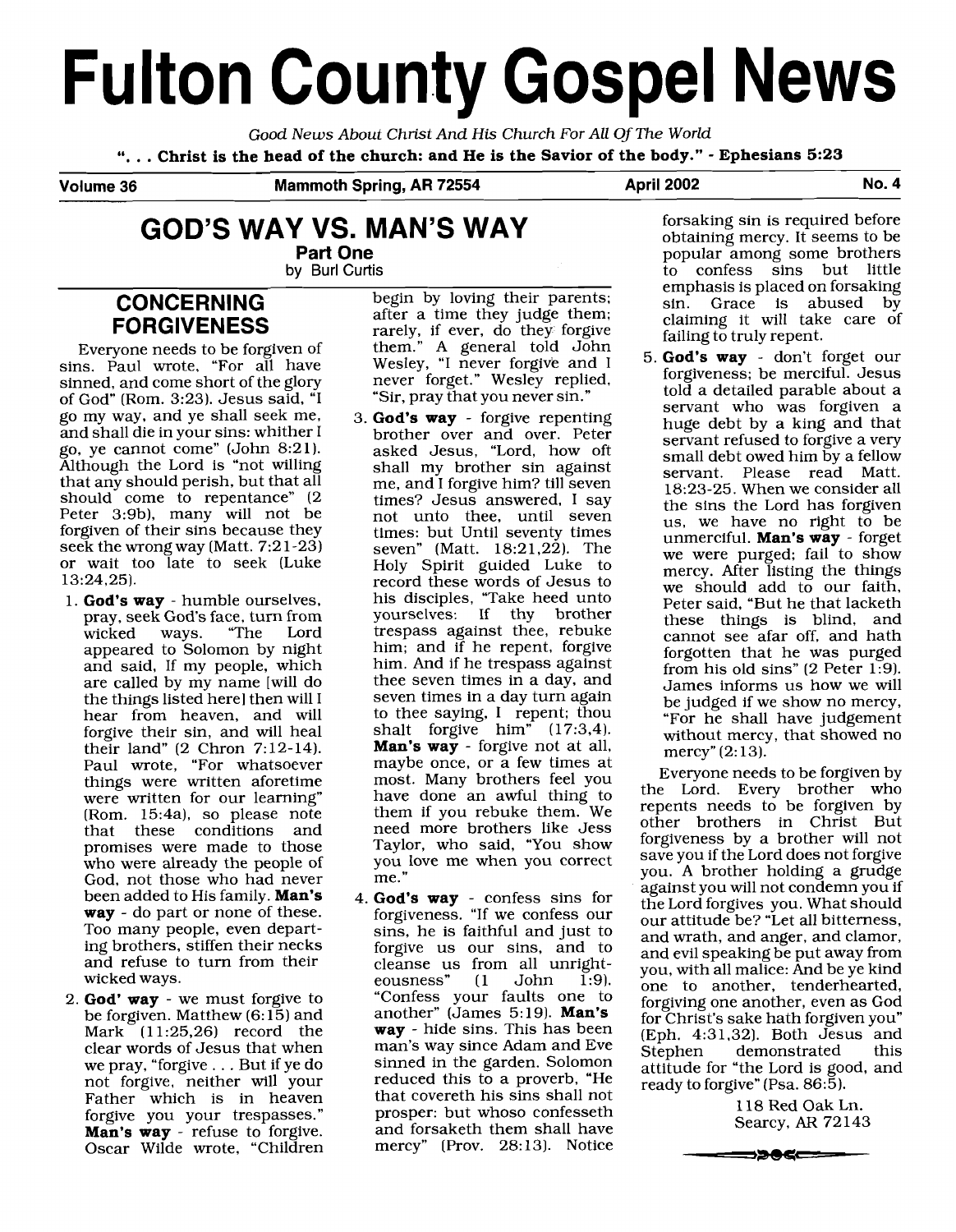# **Fulton County Gospel News**

Good News About Christ And His Church For All Of The World ". . . **Christ is the head of the church: and He is the Savior of the body."** - **Ephesians <sup>523</sup>**

Volume 36 Mammoth Spring, AR 72554 April 2002 April 2002

## **GOD'S WAY VS. MAN'S WAY**

**Part One by** Burl Curtis

### **CONCERNING FORGIVENESS**

Everyone needs to be forgiven of sins. Paul wrote, "For all have sinned, and come short of the glory of God" (Rom. 3:23). Jesus said, "I go my way, and ye shall seek me, and shall die in your sins: whither I go, ye cannot come" (John 8:21). Although the Lord is "not willing that any should perish, but that all should come to repentance" (2) Peter 3:9b), many will not be forgiven of their sins because they seek the wrong way (Matt. 7:2 1-23) or wait too late to seek (Luke 13:24,25).

- 1. **God's way**  humble ourselves, pray, seek God's face, turn from wicked ways. "The Lord appeared to Solomon by night and said, If my people, which are called by my name [will do the things listed here1 then will I hear from heaven, and will forgive their sin, and will heal their land" (2 Chron 7: 12-14). Paul wrote, "For whatsoever things were written aforetime were written for our learning" (Rom. 15:4a), so please note<br>that these conditions and that these conditions promises were made to those who were already the people of God, not those who had never been added to His family. **Man's way** - do part or none of these. Too many people, even departing brothers, stiffen their necks and refuse to turn from their wicked ways.
- 2. **God' way**  we must forgive to be forgiven. Matthew (6: 15) and Mark  $(11:25,26)$  record the clear words of Jesus that when we pray, "forgive . . . But if ye do not forgive, neither will your Father which is in heaven forgive you your trespasses." **Man's way** - refuse to forgive. Oscar Wilde wrote, "Children

begin by loving their parents; after a time they judge them; rarely, if ever, do they forgive them." A general told John Wesley, "I never forgive and I never forget." Wesley replied, "Sir, pray that you never sin."

- 3. **God's way**  forgive repenting brother over and over. Peter asked Jesus, "Lord, how oft shall my brother sin against me, and I forgive him? till seven times? Jesus answered, I say not unto thee, until seven times: but Until seventy times seven" (Matt. 18:21,22). The Holy Spirit guided Luke to record these words of Jesus to his disciples, "Take heed unto yourselves: If thy brother trespass against thee, rebuke him; and if he repent, forgive him. And if he trespass against thee seven times in a day, and seven times in a day turn again to thee saying, I repent; thou shalt forgive him"  $(17:3,4)$ . **Man's way** - forgive not at all, maybe once, or a few times at most. Many brothers feel you have done an awful thing to them if you rebuke them. We need more brothers like Jess Taylor, who said, "You show you love me when you correct me."
- 4. **God's way**  confess sins for forgiveness. "If we confess our sins, he is faithful and just to forgive us our sins, and to cleanse us from all unright-<br>eousness" (1 John 1:9).  $eousness"$ "Confess your faults one to another" (James 5: 19). **Man's way** - hide sins. This has been man's way since Adam and Eve sinned in the garden. Solomon reduced this to a proverb, "He that covereth his sins shall not prosper: but whoso confesseth and forsaketh them shall have mercy" (Prov. 28:13). Notice

forsaking sin is required before obtaining mercy. It seems to be popular among some brothers to confess sins but little emphasis is placed on forsaking sin. Grace is abused by claiming it will take care of failing to truly repent.

5. **God's way** - don't forget our forgiveness; be merciful. Jesus told a detailed parable about a servant who was forgiven a huge debt by a king and that servant refused to forgive a very small debt owed him by a fellow servant. Please read Matt. 18:23-25. When we consider all the sins the Lord has forgiven us, we have no right to be unmerciful. **Man's way** - forget we were purged; fail to show mercy. After listing the things we should add to our faith, Peter said, "But he that lacketh these things is blind, and cannot see afar off, and hath forgotten that he was purged from his old sins" (2 Peter 1:9). James informs us how we will be judged if we show no mercy, "For he shall have judgement without mercy, that showed no mercy"  $(2:13)$ .

Everyone needs to be forgiven by the Lord. Every brother who repents needs to be forgiven by other brothers in Christ But forgiveness by a brother will not save you if the Lord does not forgive you. A brother holding a grudge against you will not condemn you if the Lord forgives you. What should our attitude be? "Let all bitterness, and wrath, and anger, and clamor, and evil speaking be put away from you, with all malice: And be ye kind one to another, tenderhearted, forgiving one another, even as God for Christ's sake hath forgiven you" (Eph. 4:31,32). Both Jesus and Stephen demonstrated this attitude for "the Lord is good, and ready to forgive" (Psa. 86:5).

> 118 Red Oak Ln. Searcy, AR 72143

⇒<del>≫®≪——</del>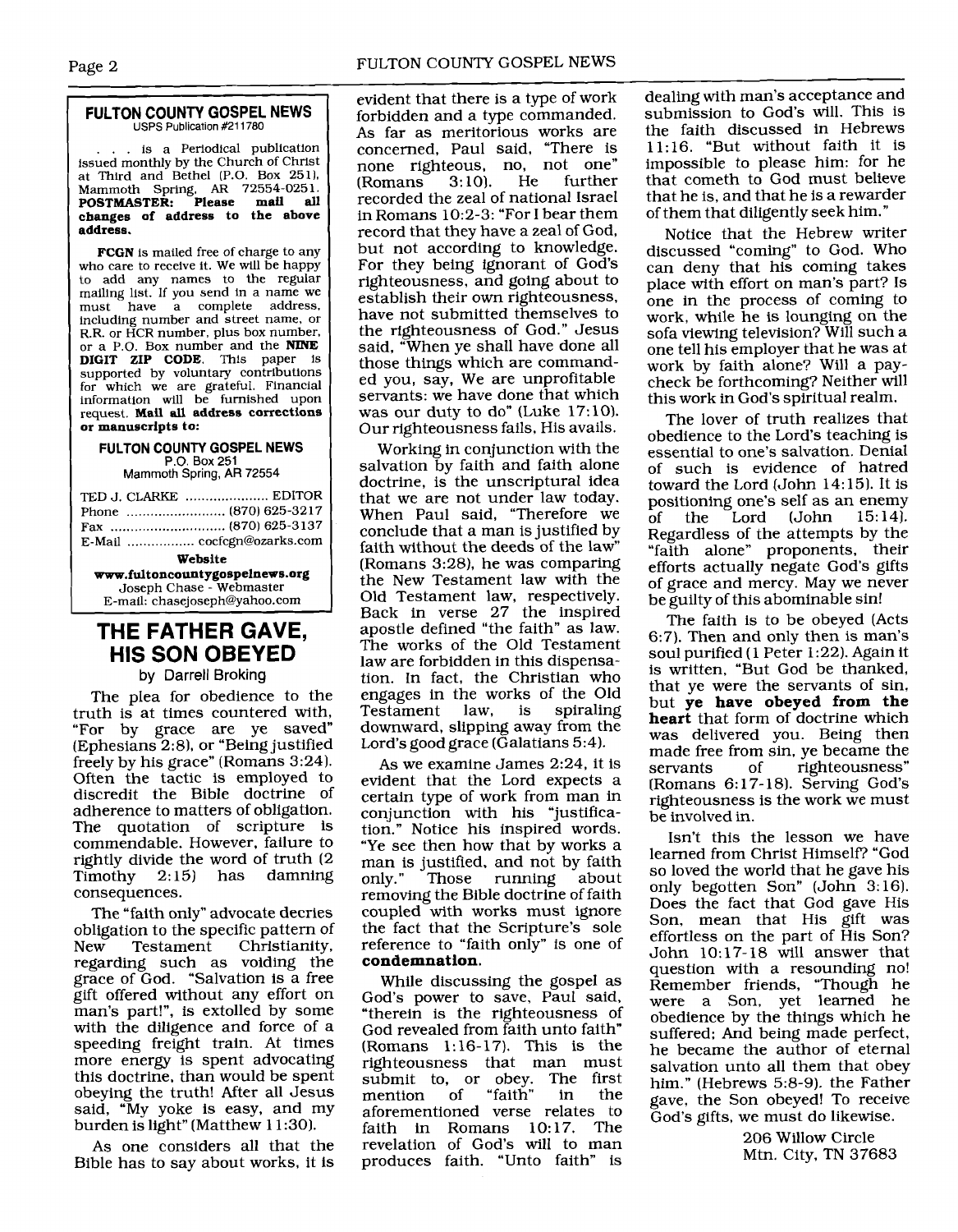#### **FULTON COUNTY GOSPEL NEWS**  USPS Publication **#211780**

... is a Periodical publication issued monthly by the Church of Christ at Third and Bethel (P.O. Box 251), Mammoth Spring, **AR** 72554-025 1. **POSTMASTER: Please mail all changes of address to the above address.** 

**FCGN** is mailed free of charge to any who care to receive it. We will be happy to add any names to the regular mailing list. If you send in a name we<br>must have a complete address, have a complete address, including number and street name, or<br>R.R. or HCR number, plus box number, or a P.O. Box number and the **NINE DIGIT ZIP CODE.** This paper is supported by voluntary contributions for which we are grateful. Financial information will be furnished upon request. **Mail all address corrections or manuscripts to:** 

#### **FULTON COllNTY GOSPEL NEWS P.O.** Box 251

Mammoth **Spring, AR** 72554

| TED J. CLARKE  EDITOR          |  |  |  |
|--------------------------------|--|--|--|
| Phone  (870) 625-3217          |  |  |  |
|                                |  |  |  |
| E-Mail  cocfcgn@ozarks.com     |  |  |  |
| Website                        |  |  |  |
| www.fultoncountygospelnews.org |  |  |  |
| Joseph Chase - Webmaster       |  |  |  |

#### **THE FATHER GAVE, HIS SON OBEYED**

E-mail: chasejoseph@yahoo.com

#### **by Darrell** Broking

The plea for obedience to the truth is at times countered with, "For by grace are ye saved" (Ephesians 2:8), or "Being justified freely by his grace" (Romans 3:24). Often the tactic is employed to discredit the Bible doctrine of adherence to matters of obligation. The quotation of scripture is commendable. However, failure to rightly divide the word of truth (2 damning consequences.

The "faith only" advocate decries obligation to the specific pattern of<br>New Testament Christianity, Christianity, regarding such as voiding the grace of God. "Salvation is a free gift offered without any effort on man's part!", is extolled by some with the diligence and force of a speeding freight train. At times more energy is spent advocating this doctrine, than would be spent obeying the truth! After all Jesus said, "My yoke is easy, and my burden is light" (Matthew 1 1:30).

As one considers all that the Bible has to say about works, it is evident that there is a type of work forbidden and a type commanded. As far as meritorious works are concerned, Paul said, "There is none righteous, no, not one" **(Romans** recorded the zeal of national Israel in Romans 10:2-3: "For I bear them record that they have a zeal of God, but not according to knowledge. For they being ignorant of God's righteousness, and going about to establish their own righteousness, have not submitted themselves to the righteousness of God." Jesus said, "When ye shall have done all those things which are commanded you, say, We are unprofitable servants: we have done that which was our duty to do" (Luke 17:10). Our righteousness fails, His avails.

Working in conjunction with the salvation by faith and faith alone doctrine, is the unscriptural idea that we are not under law today. When Paul said, "Therefore we conclude that a man is justified by faith without the deeds of the law" (Romans 3:28), he was comparing the New Testament law with the Old Testament law, respectively. Back in verse 27 the inspired apostle defined "the faith" as law. The works of the Old Testament law are forbidden in this dispensation. In fact, the Christian who engages in the works of the Old Testament downward, slipping away from the Lord's good grace (Galatians 5:4).

As we examine James 2:24, it is evident that the Lord expects a certain type of work from man in conjunction with his "justification." Notice his inspired words. "Ye see then how that by works a man is justified, and not by faith<br>only." Those running about Those running removing the Bible doctrine of faith coupled with works must ignore the fact that the Scripture's sole reference to "faith only" is one of **condemnation.** 

While discussing the gospel as God's power to save, Paul said, "therein is the righteousness of God revealed from faith unto faith" (Romans 1:16-17). This is the righteousness that man must submit to, or obey. The first<br>mention of "faith" in the mention aforementioned verse relates to<br>faith in Romans 10.17. The faith in Romans  $10:17$ . revelation of God's will to man produces faith. "Unto faith" is dealing with man's acceptance and submission to God's will. This is the faith discussed in Hebrews 11: 16. "But without faith it is impossible to please him: for he that cometh to God must believe that he is, and that he is a rewarder of them that diligently seek him."

Notice that the Hebrew writer discussed "coming" to God. Who can deny that his coming takes place with effort on man's part? Is one in the process of coming to work, while he is lounging on the sofa viewing television? Will such a one tell his employer that he was at work by faith alone? Will a paycheck be forthcoming? Neither will this work in God's spiritual realm.

The lover of truth realizes that obedience to the Lord's teaching is essential to one's salvation. Denial of such is evidence of hatred toward the Lord  $(John 14:15)$ . It is positioning one's self as an enemy<br>of the Lord (John 15:14). Lord (John Regardless of the attempts by the "faith alone" proponents, their efforts actually negate God's gifts of grace and mercy. May we never be guilty of this abominable sin!

The faith is to be obeyed (Acts 6:7). Then and only then is man's soul purified (1 Peter 1:22). Again it is written, "But God be thanked, that ye were the servants of sin, but **ye have obeyed from the heart** that form of doctrine which was delivered you. Being then made free from sin, ye became the<br>servants of righteousness" righteousness" [Romans 6: 17- 18). Serving God's righteousness is the work we must be involved in.

Isn't this the lesson we have learned from Christ Himself? "God so loved the world that he gave his only begotten Son" (John 3:16). Does the fact that God gave His Son, mean that His gift was effortless on the part of His Son? John 10: 17- 18 will answer that question with a resounding no! Remember friends, "Though he were a Son, yet learned he obedience by the things which he suffered; And being made perfect, he became the author of eternal salvation unto all them that obey him." (Hebrews 5:8-9). the Father gave, the Son obeyed! To receive God's gifts, we must do likewise.

> 206 Willow Circle Mtn. City, TN 37683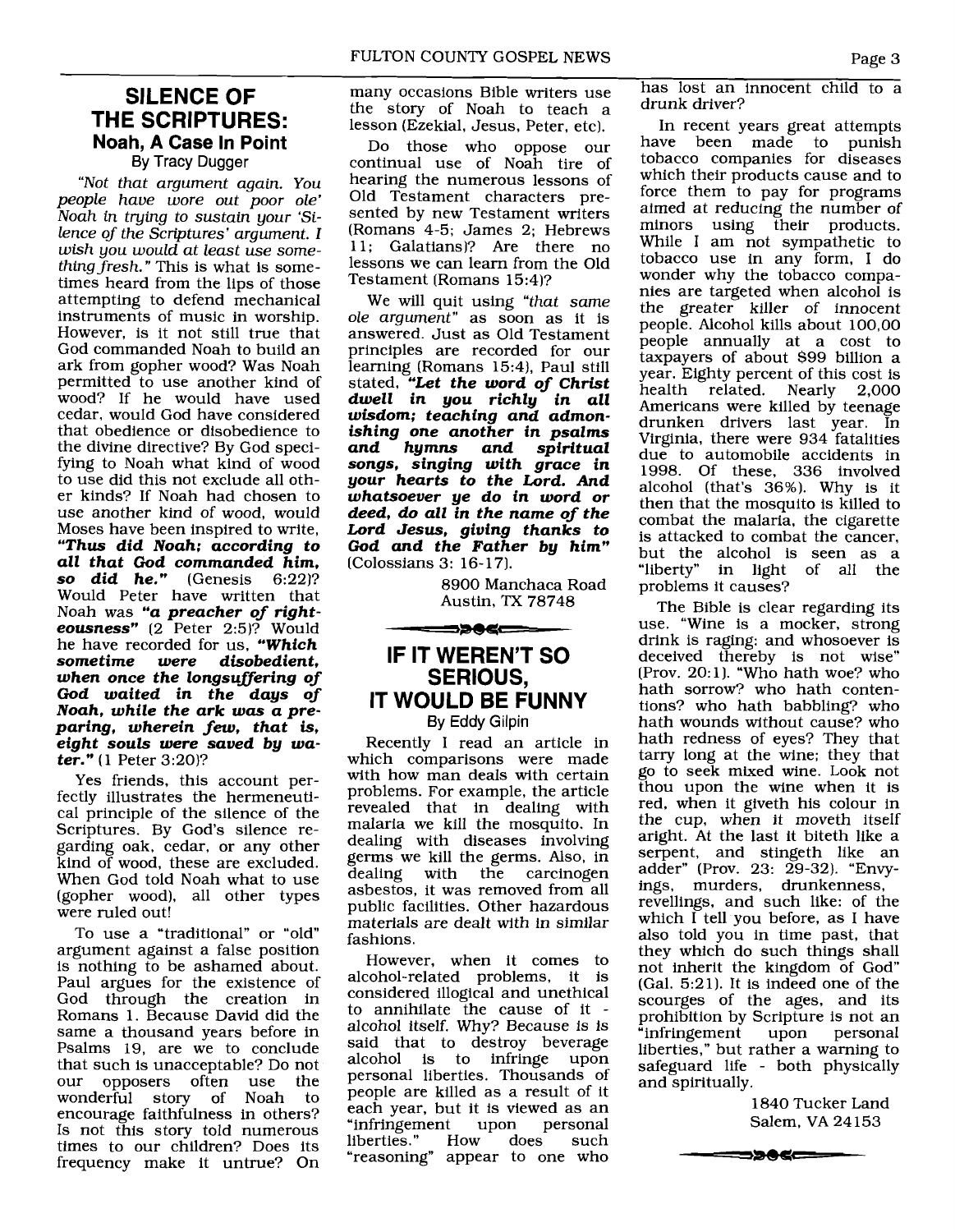#### **SILENCE OF THE SCRIPTURES: Noah, A Case In Point**  By Tracy Dugger

"Not that argument again. You people have wore out poor ole' Noah in tying to sustain your 'Silence of the Scriptures' argument. I wish you would at least use something fresh." This is what is sometimes heard from the lips of those attempting to defend mechanical instruments of music in worship. However, is it not still true that God commanded Noah to build an ark from gopher wood? Was Noah permitted to use another kind of wood? If he would have used cedar, would God have considered that obedience or disobedience to the divine directive? By God specifying to Noah what kind of wood to use did this not exclude all other kinds? If Noah had chosen to use another kind of wood, would Moses have been inspired to write, *"Thus did Noah; according to all that God commanded him, so did he."* Would Peter have written that Noah was *"a preacher of righteousness"* (2 Peter 2:5)? Would he have recorded for us, *"Which sometime were when once the longsuffering of God waited in the days of Noah, while the ark was a preparing, wherein* **few,** *that is, eight souls were saved by water."* (1 Peter 3:20)?

Yes friends, this account perfectly illustrates the hermeneutical principle of the silence of the Scriptures. By God's silence regarding oak, cedar, or any other kind of wood, these are excluded. When God told Noah what to use (gopher wood), all other types were ruled out!

To use a "traditional" or "old" argument against a false position is nothing to be ashamed about. Paul argues for the existence of God through the creation in Romans 1. Because David did the same a thousand years before in Psalms 19, are we to conclude that such is unacceptable? Do not<br>our opposers often use the our opposers often use the<br>wonderful story of Noah to story of Noah encourage faithfulness in others? Is not this story told numerous times to our children? Does its frequency make it untrue? On

many occasions Bible writers use the story of Noah to teach a lesson (Ezekial, Jesus, Peter, etc).

Do those who oppose our continual use of Noah tire of hearing the numerous lessons of Old Testament characters presented by new Testament writers (Romans 4-5; James 2; Hebrews 11; Galatians)? Are there no lessons we can learn from the Old Testament (Romans 15:4)?

We will quit using "that same ole argument" as soon as it is answered. Just as Old Testament principles are recorded for our learning (Romans 15:4), Paul still stated, *\*\*Let the word of Christ dwell in you richly in all wisdom; teaching and admonishing one another in psalms and hymns and spiritual songs, singing with grace in your hearts to the Lord. And whatsoever ye do in word or deed, do all in the name of the Lord Jesus, giving thanks to God and the Father by him"*  (Colossians 3: 16- 17).

> 8900 Manchaca Road Austin, TX 78748

#### **IF IT WEREN'T SO SERIOUS, IT WOULD BE FUNNY**  By Eddy Gilpin

━━≫●≤━━

Recently I read an article in which comparisons were made with how man deals with certain problems. For example, the article revealed that in dealing with malaria we kill the mosquito. In dealing with diseases involving germs we kill the germs. Also, in the carcinogen asbestos, it was removed from all public facilities. Other hazardous materials are dealt with in similar fashions.

However, when it comes to alcohol-related problems, it is considered illogical and unethical<br>to annihilate the cause of it alcohol itself. Why? Because is is said that to destroy beverage alcohol is to infringe upon personal liberties. Thousands of people are killed as a result of it each year, but it is viewed as an<br>"infringement upon personal "infringement upon p<br>liberties." How does liberties." How does such "reasoning" appear to one who

has lost an innocent child to a drunk driver?

In recent years great attempts have been made to punish tobacco companies for diseases which their products cause and to force them to pay for programs aimed at reducing the number of minors using their products. While I am not sympathetic to tobacco use in any form, I do wonder why the tobacco companies are targeted when alcohol is the greater killer of innocent people. Alcohol kills about 100,OO people annually at a cost to taxpayers of about \$99 billion a year. Eighty percent of this cost is<br>health related. Nearly 2,000 health related. Americans were killed by teenage drunken drivers last year. In Virginia, there were 934 fatalities due to automobile accidents in 1998. Of these, 336 involved alcohol (that's 36%). Why is it then that the mosquito is killed to combat the malaria, the cigarette is attacked to combat the cancer, but the alcohol is seen as a "liberty" in light of all the problems it causes?

The Bible is clear regarding its use. "Wine is a mocker, strong drink is raging: and whosoever is deceived thereby is not wise" (Prov. 20:1). "Who hath woe? who hath sorrow? who hath contentions? who hath babbling? who hath wounds without cause? who hath redness of eyes? They that tarry long at the wine; they that go to seek mixed wine. Look not thou upon the wine when it is red, when it giveth his colour in the cup, when it moveth itself aright. At the last it biteth like a serpent, and stingeth like an adder" (Prov. 23: 29-32). "Envyings, murders, drunkenness, revellings, and such like: of the which I tell you before, as I have also told you in time past, that they which do such things shall not inherit the kingdom of God" (Gal. 5:2 1). It is indeed one of the scourges of the ages, and its prohibition by Scripture is not an "infringement upon personal liberties," but rather a warning to safeguard life - both physically and spiritually.

> 1840 Tucker Land Salem, VA 24153

═══╒═══